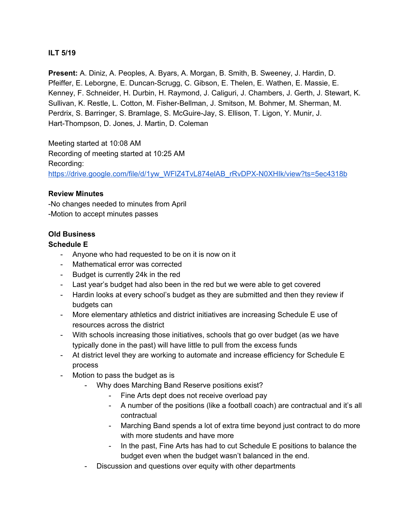## **ILT 5/19**

**Present:** A. Diniz, A. Peoples, A. Byars, A. Morgan, B. Smith, B. Sweeney, J. Hardin, D. Pfeiffer, E. Leborgne, E. Duncan-Scrugg, C. Gibson, E. Thelen, E. Wathen, E. Massie, E. Kenney, F. Schneider, H. Durbin, H. Raymond, J. Caliguri, J. Chambers, J. Gerth, J. Stewart, K. Sullivan, K. Restle, L. Cotton, M. Fisher-Bellman, J. Smitson, M. Bohmer, M. Sherman, M. Perdrix, S. Barringer, S. Bramlage, S. McGuire-Jay, S. Ellison, T. Ligon, Y. Munir, J. Hart-Thompson, D. Jones, J. Martin, D. Coleman

Meeting started at 10:08 AM Recording of meeting started at 10:25 AM Recording: [https://drive.google.com/file/d/1yw\\_WFlZ4TvL874elAB\\_rRvDPX-N0XHIk/view?ts=5ec4318b](https://drive.google.com/file/d/1yw_WFlZ4TvL874elAB_rRvDPX-N0XHIk/view?ts=5ec4318b)

#### **Review Minutes**

-No changes needed to minutes from April -Motion to accept minutes passes

## **Old Business**

#### **Schedule E**

- Anyone who had requested to be on it is now on it
- Mathematical error was corrected
- Budget is currently 24k in the red
- Last year's budget had also been in the red but we were able to get covered
- Hardin looks at every school's budget as they are submitted and then they review if budgets can
- More elementary athletics and district initiatives are increasing Schedule E use of resources across the district
- With schools increasing those initiatives, schools that go over budget (as we have typically done in the past) will have little to pull from the excess funds
- At district level they are working to automate and increase efficiency for Schedule E process
- Motion to pass the budget as is
	- Why does Marching Band Reserve positions exist?
		- Fine Arts dept does not receive overload pay
		- A number of the positions (like a football coach) are contractual and it's all contractual
		- Marching Band spends a lot of extra time beyond just contract to do more with more students and have more
		- In the past, Fine Arts has had to cut Schedule E positions to balance the budget even when the budget wasn't balanced in the end.
	- Discussion and questions over equity with other departments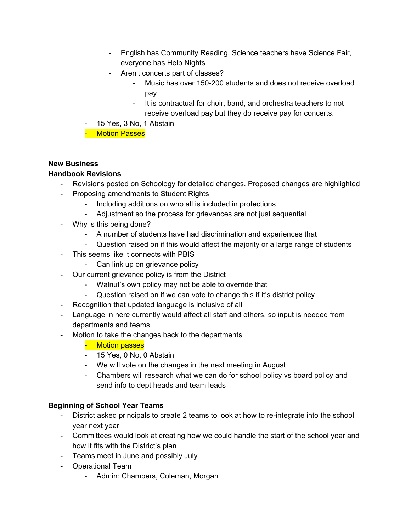- English has Community Reading, Science teachers have Science Fair, everyone has Help Nights
- Aren't concerts part of classes?
	- Music has over 150-200 students and does not receive overload pay
	- It is contractual for choir, band, and orchestra teachers to not receive overload pay but they do receive pay for concerts.
- 15 Yes, 3 No, 1 Abstain
- Motion Passes

## **New Business**

## **Handbook Revisions**

- Revisions posted on Schoology for detailed changes. Proposed changes are highlighted
- Proposing amendments to Student Rights
	- Including additions on who all is included in protections
	- Adjustment so the process for grievances are not just sequential
- Why is this being done?
	- A number of students have had discrimination and experiences that
	- Question raised on if this would affect the majority or a large range of students
- This seems like it connects with PBIS
	- Can link up on grievance policy
- Our current grievance policy is from the District
	- Walnut's own policy may not be able to override that
	- Question raised on if we can vote to change this if it's district policy
- Recognition that updated language is inclusive of all
- Language in here currently would affect all staff and others, so input is needed from departments and teams
- Motion to take the changes back to the departments
	- Motion passes
	- 15 Yes, 0 No, 0 Abstain
	- We will vote on the changes in the next meeting in August
	- Chambers will research what we can do for school policy vs board policy and send info to dept heads and team leads

# **Beginning of School Year Teams**

- District asked principals to create 2 teams to look at how to re-integrate into the school year next year
- Committees would look at creating how we could handle the start of the school year and how it fits with the District's plan
- Teams meet in June and possibly July
- Operational Team
	- Admin: Chambers, Coleman, Morgan